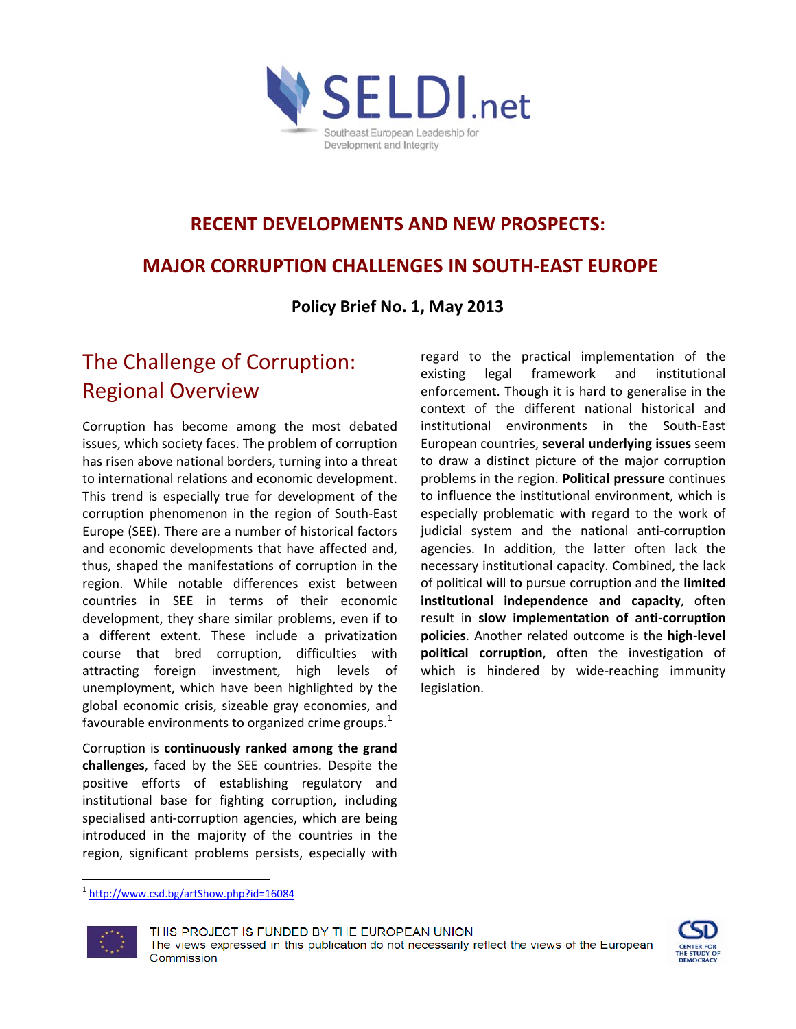

# **RECENT DEVELOPMENTS AND NEW PROSPECTS:**

## **MAJOR CORRUPTION CHALLENGES IN SOUTH-EAST EUROPE**

Policy Brief No. 1, May 2013

## The Challenge of Corruption: **Regional Overview**

Corruption has become among the most debated issues, which society faces. The problem of corruption has risen above national borders, turning into a threat to international relations and economic development. This trend is especially true for development of the corruption phenomenon in the region of South-East Europe (SEE). There are a number of historical factors and economic developments that have affected and, thus, shaped the manifestations of corruption in the region. While notable differences exist between countries in SEE in terms of their economic development, they share similar problems, even if to a different extent. These include a privatization course that bred corruption, difficulties with attracting foreign investment, high levels of unemployment, which have been highlighted by the global economic crisis, sizeable gray economies, and favourable environments to organized crime groups.<sup>1</sup>

Corruption is continuously ranked among the grand challenges, faced by the SEE countries. Despite the positive efforts of establishing regulatory and institutional base for fighting corruption, including specialised anti-corruption agencies, which are being introduced in the majority of the countries in the region, significant problems persists, especially with

regard to the practical implementation of the existing legal framework and institutional enforcement. Though it is hard to generalise in the context of the different national historical and institutional environments in the South-East European countries, several underlying issues seem to draw a distinct picture of the major corruption problems in the region. Political pressure continues to influence the institutional environment, which is especially problematic with regard to the work of judicial system and the national anti-corruption agencies. In addition, the latter often lack the necessary institutional capacity. Combined, the lack of political will to pursue corruption and the limited institutional independence and capacity, often result in slow implementation of anti-corruption policies. Another related outcome is the high-level political corruption, often the investigation of which is hindered by wide-reaching immunity legislation.

<sup>&</sup>lt;sup>1</sup> http://www.csd.bg/artShow.php?id=16084



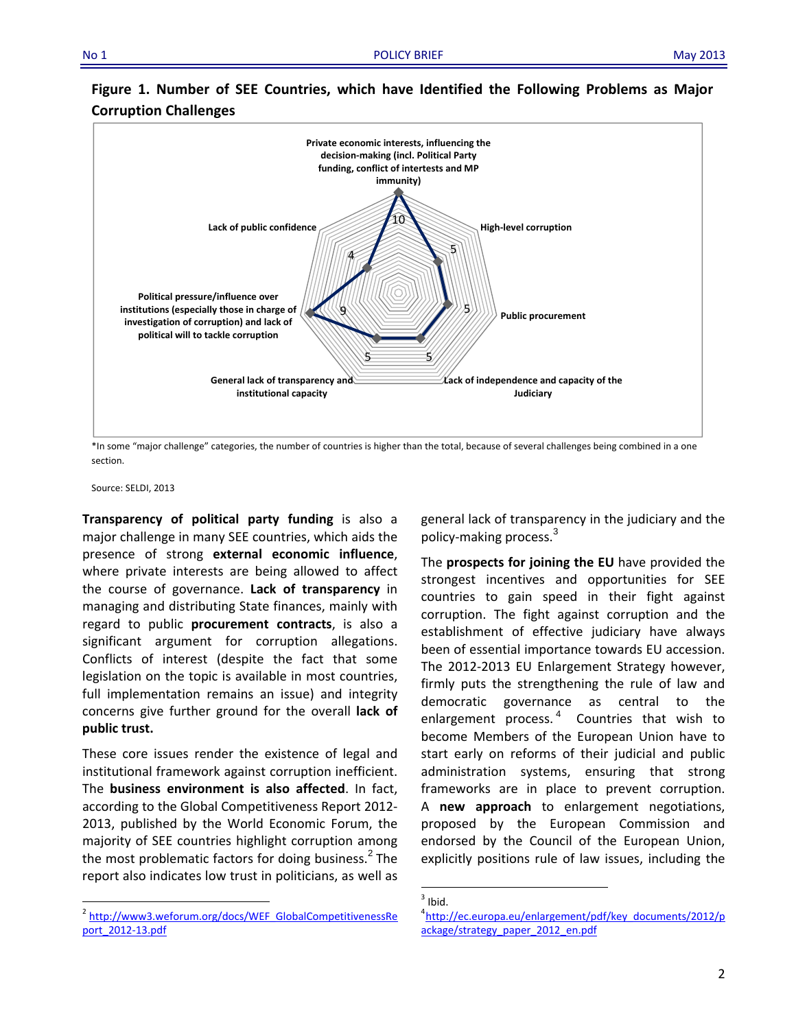

### **Figure 1. Number of SEE Countries, which have Identified the Following Problems as Major Corruption Challenges**

\*In some "major challenge" categories, the number of countries is higher than the total, because of several challenges being combined in a one section.

Source: SELDI, 2013

**Transparency of political party funding** is also a major challenge in many SEE countries, which aids the presence of strong **external economic influence**, where private interests are being allowed to affect the course of governance. **Lack of transparency** in managing and distributing State finances, mainly with regard to public **procurement contracts**, is also a significant argument for corruption allegations. Conflicts of interest (despite the fact that some legislation on the topic is available in most countries, full implementation remains an issue) and integrity concerns give further ground for the overall **lack of public trust.** 

These core issues render the existence of legal and institutional framework against corruption inefficient. The **business environment is also affected**. In fact, according to the Global Competitiveness Report 2012‐ 2013, published by the World Economic Forum, the majority of SEE countries highlight corruption among the most problematic factors for doing business. $<sup>2</sup>$  The</sup> report also indicates low trust in politicians, as well as

general lack of transparency in the judiciary and the policy-making process.<sup>3</sup>

The **prospects for joining the EU** have provided the strongest incentives and opportunities for SEE countries to gain speed in their fight against corruption. The fight against corruption and the establishment of effective judiciary have always been of essential importance towards EU accession. The 2012‐2013 EU Enlargement Strategy however, firmly puts the strengthening the rule of law and democratic governance as central to the enlargement process. $<sup>4</sup>$  Countries that wish to</sup> become Members of the European Union have to start early on reforms of their judicial and public administration systems, ensuring that strong frameworks are in place to prevent corruption. A **new approach** to enlargement negotiations, proposed by the European Commission and endorsed by the Council of the European Union, explicitly positions rule of law issues, including the

<sup>&</sup>lt;sup>2</sup> http://www3.weforum.org/docs/WEF\_GlobalCompetitivenessRe port\_2012‐13.pdf

 $<sup>3</sup>$  Ibid.</sup>

http://ec.europa.eu/enlargement/pdf/key\_documents/2012/p ackage/strategy\_paper\_2012\_en.pdf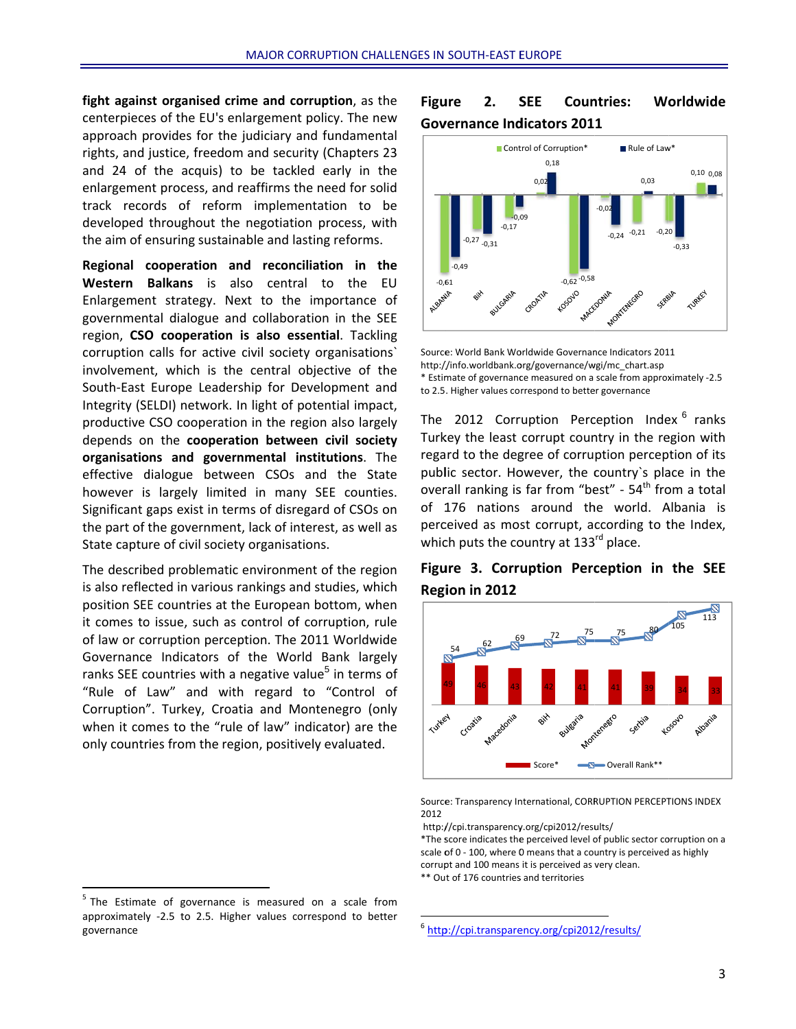fight against organised crime and corruption, as the centerpieces of the EU's enlargement policy. The new approach provides for the judiciary and fundamental rights, and justice, freedom and security (Chapters 23 and 24 of the acquis) to be tackled early in the enlargement process, and reaffirms the need for solid track records of reform implementation to be developed throughout the negotiation process, with the aim of ensuring sustainable and lasting reforms.

Regional cooperation and reconciliation in the Western Balkans is also central to the EU Enlargement strategy. Next to the importance of governmental dialogue and collaboration in the SEE region, CSO cooperation is also essential. Tackling corruption calls for active civil society organisations' involvement, which is the central objective of the South-East Europe Leadership for Development and Integrity (SELDI) network. In light of potential impact, productive CSO cooperation in the region also largely depends on the cooperation between civil society organisations and governmental institutions. The effective dialogue between CSOs and the State however is largely limited in many SEE counties. Significant gaps exist in terms of disregard of CSOs on the part of the government, lack of interest, as well as State capture of civil society organisations.

The described problematic environment of the region is also reflected in various rankings and studies, which position SEE countries at the European bottom, when it comes to issue, such as control of corruption, rule of law or corruption perception. The 2011 Worldwide Governance Indicators of the World Bank largely ranks SEE countries with a negative value<sup>5</sup> in terms of "Rule of Law" and with regard to "Control of Corruption". Turkey, Croatia and Montenegro (only when it comes to the "rule of law" indicator) are the only countries from the region, positively evaluated.

#### **Figure**  $2.$ **SEE Countries:** Worldwide **Governance Indicators 2011**



Source: World Bank Worldwide Governance Indicators 2011 http://info.worldbank.org/governance/wgi/mc\_chart.asp \* Estimate of governance measured on a scale from approximately -2.5 to 2.5. Higher values correspond to better governance

The 2012 Corruption Perception Index <sup>6</sup> ranks Turkey the least corrupt country in the region with regard to the degree of corruption perception of its public sector. However, the country's place in the overall ranking is far from "best" - 54<sup>th</sup> from a total of 176 nations around the world. Albania is perceived as most corrupt, according to the Index, which puts the country at 133rd place.





Source: Transparency International, CORRUPTION PERCEPTIONS INDEX 2012

http://cpi.transparency.org/cpi2012/results/

\*The score indicates the perceived level of public sector corruption on a scale of 0 - 100, where 0 means that a country is perceived as highly corrupt and 100 means it is perceived as very clean. \*\* Out of 176 countries and territories

<sup>&</sup>lt;sup>5</sup> The Estimate of governance is measured on a scale from approximately -2.5 to 2.5. Higher values correspond to better governance

<sup>&</sup>lt;sup>6</sup> http://cpi.transparency.org/cpi2012/results/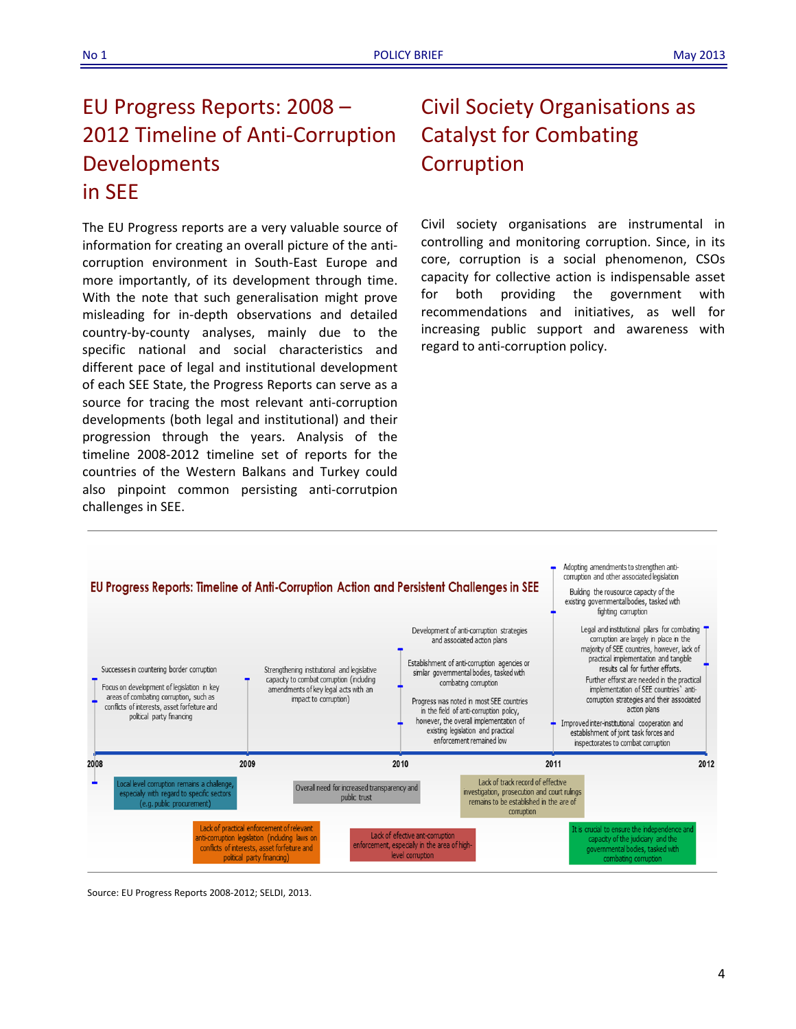## EU Progress Reports: 2008 – 2012 Timeline of Anti‐Corruption Developments in SEE

The EU Progress reports are a very valuable source of information for creating an overall picture of the anti‐ corruption environment in South‐East Europe and more importantly, of its development through time. With the note that such generalisation might prove misleading for in‐depth observations and detailed country‐by‐county analyses, mainly due to the specific national and social characteristics and different pace of legal and institutional development of each SEE State, the Progress Reports can serve as a source for tracing the most relevant anti-corruption developments (both legal and institutional) and their progression through the years. Analysis of the timeline 2008‐2012 timeline set of reports for the countries of the Western Balkans and Turkey could also pinpoint common persisting anti‐corrutpion challenges in SEE.

# Civil Society Organisations as Catalyst for Combating Corruption

Civil society organisations are instrumental in controlling and monitoring corruption. Since, in its core, corruption is a social phenomenon, CSOs capacity for collective action is indispensable asset for both providing the government with recommendations and initiatives, as well for increasing public support and awareness with regard to anti‐corruption policy.



Source: EU Progress Reports 2008‐2012; SELDI, 2013.